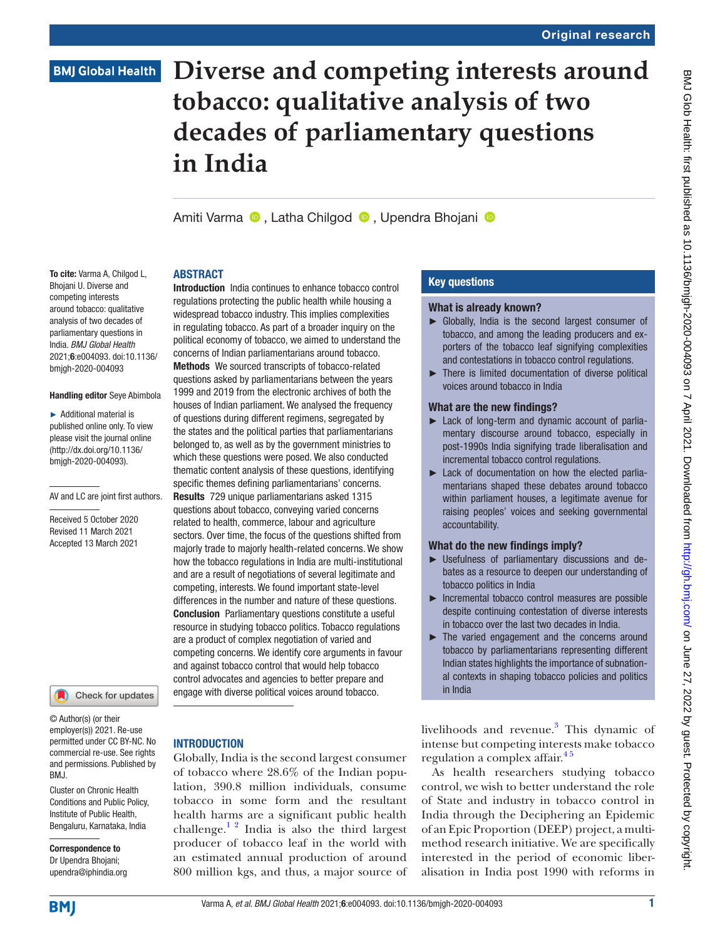# **Diverse and competing interests around tobacco: qualitative analysis of two decades of parliamentary questions in India**

AmitiVarma **D**. Latha Chilgod **D**. Upendra Bhoiani **D** 

regulations protecting the public health while housing a widespread tobacco industry. This implies complexities in regulating tobacco. As part of a broader inquiry on the political economy of tobacco, we aimed to understand the concerns of Indian parliamentarians around tobacco. Methods We sourced transcripts of tobacco-related questions asked by parliamentarians between the years 1999 and 2019 from the electronic archives of both the houses of Indian parliament. We analysed the frequency of questions during different regimens, segregated by the states and the political parties that parliamentarians belonged to, as well as by the government ministries to which these questions were posed. We also conducted thematic content analysis of these questions, identifying specific themes defining parliamentarians' concerns. Results 729 unique parliamentarians asked 1315 questions about tobacco, conveying varied concerns related to health, commerce, labour and agriculture sectors. Over time, the focus of the questions shifted from majorly trade to majorly health-related concerns. We show how the tobacco regulations in India are multi-institutional and are a result of negotiations of several legitimate and competing, interests. We found important state-level differences in the number and nature of these questions. Conclusion Parliamentary questions constitute a useful resource in studying tobacco politics. Tobacco regulations are a product of complex negotiation of varied and competing concerns. We identify core arguments in favour and against tobacco control that would help tobacco control advocates and agencies to better prepare and engage with diverse political voices around tobacco.

#### ABSTRACT Introduction India continues to enhance tobacco control

To cite: Varma A, Chilgod L, Bhojani U. Diverse and competing interests around tobacco: qualitative analysis of two decades of parliamentary questions in India. *BMJ Global Health* 2021;6:e004093. doi:10.1136/ bmjgh-2020-004093

#### Handling editor Seye Abimbola

► Additional material is published online only. To view please visit the journal online (http://dx.doi.org/10.1136/ bmjgh-2020-004093).

AV and LC are joint first authors.

Received 5 October 2020 Revised 11 March 2021 Accepted 13 March 2021

#### Check for updates

© Author(s) (or their employer(s)) 2021. Re-use permitted under CC BY-NC. No commercial re-use. See rights and permissions. Published by RM<sub>J</sub>

Cluster on Chronic Health Conditions and Public Policy, Institute of Public Health, Bengaluru, Karnataka, India

Correspondence to Dr Upendra Bhojani; upendra@iphindia.org

# **INTRODUCTION**

Globally, India is the second largest consumer of tobacco where 28.6% of the Indian population, 390.8 million individuals, consume tobacco in some form and the resultant health harms are a significant public health challenge.<sup>12</sup> India is also the third largest producer of tobacco leaf in the world with an estimated annual production of around 800 million kgs, and thus, a major source of

# Key questions

#### What is already known?

- ► Globally, India is the second largest consumer of tobacco, and among the leading producers and exporters of the tobacco leaf signifying complexities and contestations in tobacco control regulations.
- ► There is limited documentation of diverse political voices around tobacco in India

## What are the new findings?

- ► Lack of long-term and dynamic account of parliamentary discourse around tobacco, especially in post-1990s India signifying trade liberalisation and incremental tobacco control regulations.
- ► Lack of documentation on how the elected parliamentarians shaped these debates around tobacco within parliament houses, a legitimate avenue for raising peoples' voices and seeking governmental accountability.

## What do the new findings imply?

- ► Usefulness of parliamentary discussions and debates as a resource to deepen our understanding of tobacco politics in India
- ► Incremental tobacco control measures are possible despite continuing contestation of diverse interests in tobacco over the last two decades in India.
- ► The varied engagement and the concerns around tobacco by parliamentarians representing different Indian states highlights the importance of subnational contexts in shaping tobacco policies and politics in India

livelihoods and revenue.<sup>3</sup> This dynamic of intense but competing interests make tobacco regulation a complex affair.<sup>45</sup>

As health researchers studying tobacco control, we wish to better understand the role of State and industry in tobacco control in India through the Deciphering an Epidemic of an Epic Proportion (DEEP) project, a multimethod research initiative. We are specifically interested in the period of economic liberalisation in India post 1990 with reforms in

**BMI**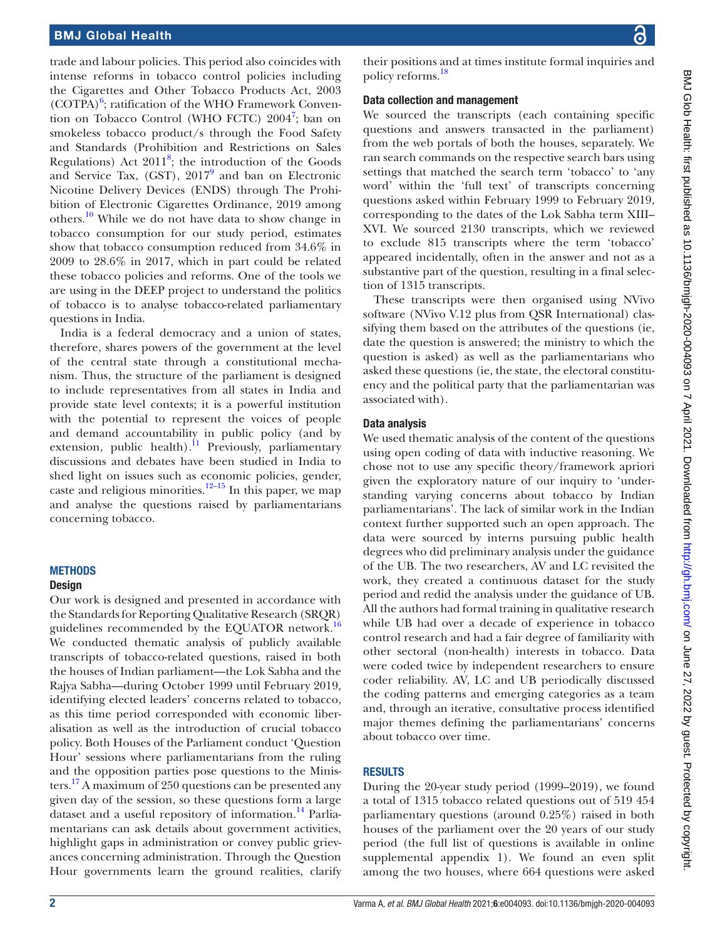trade and labour policies. This period also coincides with intense reforms in tobacco control policies including the Cigarettes and Other Tobacco Products Act, 2003  $(COTPA)<sup>6</sup>$  $(COTPA)<sup>6</sup>$  $(COTPA)<sup>6</sup>$ ; ratification of the WHO Framework Conven-tion on Tobacco Control (WHO FCTC) 2004<sup>[7](#page-8-4)</sup>; ban on smokeless tobacco product/s through the Food Safety and Standards (Prohibition and Restrictions on Sales Regulations) Act  $2011^8$ ; the introduction of the Goods and Service Tax, (GST),  $2017^9$  $2017^9$  and ban on Electronic Nicotine Delivery Devices (ENDS) through The Prohibition of Electronic Cigarettes Ordinance, 2019 among others.<sup>10</sup> While we do not have data to show change in tobacco consumption for our study period, estimates show that tobacco consumption reduced from 34.6% in 2009 to 28.6% in 2017, which in part could be related these tobacco policies and reforms. One of the tools we are using in the DEEP project to understand the politics of tobacco is to analyse tobacco-related parliamentary questions in India.

India is a federal democracy and a union of states, therefore, shares powers of the government at the level of the central state through a constitutional mechanism. Thus, the structure of the parliament is designed to include representatives from all states in India and provide state level contexts; it is a powerful institution with the potential to represent the voices of people and demand accountability in public policy (and by extension, public health).<sup>11</sup> Previously, parliamentary discussions and debates have been studied in India to shed light on issues such as economic policies, gender, caste and religious minorities. $12-15$  In this paper, we map and analyse the questions raised by parliamentarians concerning tobacco.

## METHODS

#### **Design**

Our work is designed and presented in accordance with the Standards for Reporting Qualitative Research (SRQR) guidelines recommended by the EQUATOR network.[16](#page-8-10) We conducted thematic analysis of publicly available transcripts of tobacco-related questions, raised in both the houses of Indian parliament—the Lok Sabha and the Rajya Sabha—during October 1999 until February 2019, identifying elected leaders' concerns related to tobacco, as this time period corresponded with economic liberalisation as well as the introduction of crucial tobacco policy. Both Houses of the Parliament conduct 'Question Hour' sessions where parliamentarians from the ruling and the opposition parties pose questions to the Ministers.[17](#page-8-11) A maximum of 250 questions can be presented any given day of the session, so these questions form a large dataset and a useful repository of information.<sup>14</sup> Parliamentarians can ask details about government activities, highlight gaps in administration or convey public grievances concerning administration. Through the Question Hour governments learn the ground realities, clarify

# Data collection and management

We sourced the transcripts (each containing specific questions and answers transacted in the parliament) from the web portals of both the houses, separately. We ran search commands on the respective search bars using settings that matched the search term 'tobacco' to 'any word' within the 'full text' of transcripts concerning questions asked within February 1999 to February 2019, corresponding to the dates of the Lok Sabha term XIII– XVI. We sourced 2130 transcripts, which we reviewed to exclude 815 transcripts where the term 'tobacco' appeared incidentally, often in the answer and not as a substantive part of the question, resulting in a final selection of 1315 transcripts.

These transcripts were then organised using NVivo software (NVivo V.12 plus from QSR International) classifying them based on the attributes of the questions (ie, date the question is answered; the ministry to which the question is asked) as well as the parliamentarians who asked these questions (ie, the state, the electoral constituency and the political party that the parliamentarian was associated with).

## Data analysis

We used thematic analysis of the content of the questions using open coding of data with inductive reasoning. We chose not to use any specific theory/framework apriori given the exploratory nature of our inquiry to 'understanding varying concerns about tobacco by Indian parliamentarians'. The lack of similar work in the Indian context further supported such an open approach. The data were sourced by interns pursuing public health degrees who did preliminary analysis under the guidance of the UB. The two researchers, AV and LC revisited the work, they created a continuous dataset for the study period and redid the analysis under the guidance of UB. All the authors had formal training in qualitative research while UB had over a decade of experience in tobacco control research and had a fair degree of familiarity with other sectoral (non-health) interests in tobacco. Data were coded twice by independent researchers to ensure coder reliability. AV, LC and UB periodically discussed the coding patterns and emerging categories as a team and, through an iterative, consultative process identified major themes defining the parliamentarians' concerns about tobacco over time.

## **RESULTS**

During the 20-year study period (1999–2019), we found a total of 1315 tobacco related questions out of 519 454 parliamentary questions (around 0.25%) raised in both houses of the parliament over the 20 years of our study period (the full list of questions is available in [online](https://dx.doi.org/10.1136/bmjgh-2020-004093) [supplemental appendix 1](https://dx.doi.org/10.1136/bmjgh-2020-004093)). We found an even split among the two houses, where 664 questions were asked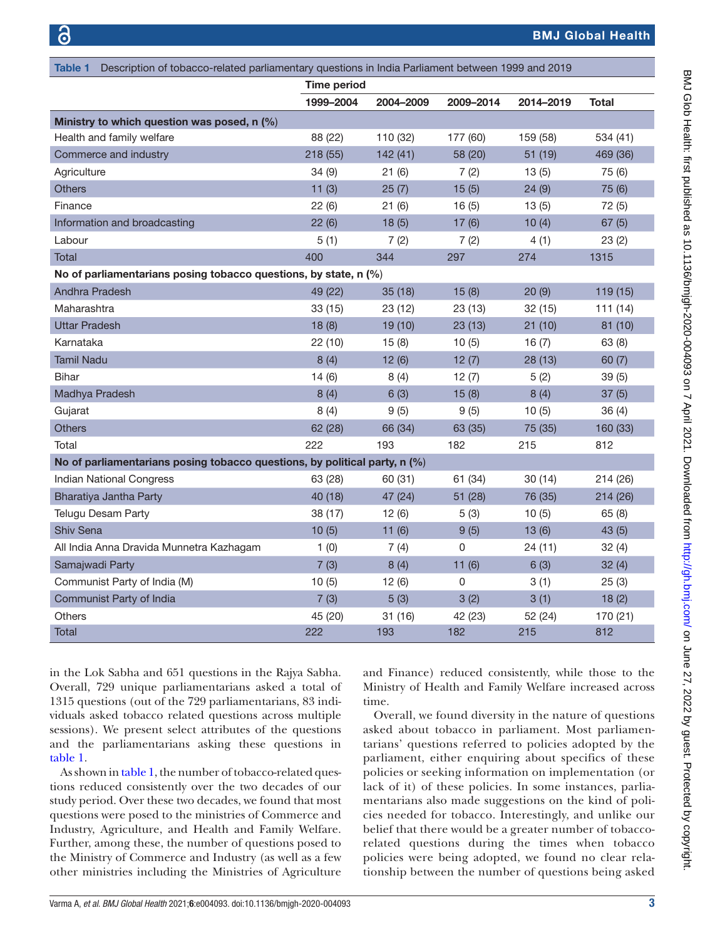<span id="page-2-0"></span>

| Description of tobacco-related parliamentary questions in India Parliament between 1999 and 2019<br>Table 1 |                    |           |           |           |              |
|-------------------------------------------------------------------------------------------------------------|--------------------|-----------|-----------|-----------|--------------|
|                                                                                                             | <b>Time period</b> |           |           |           |              |
|                                                                                                             | 1999-2004          | 2004-2009 | 2009-2014 | 2014-2019 | <b>Total</b> |
| Ministry to which question was posed, n (%)                                                                 |                    |           |           |           |              |
| Health and family welfare                                                                                   | 88 (22)            | 110 (32)  | 177 (60)  | 159 (58)  | 534 (41)     |
| Commerce and industry                                                                                       | 218 (55)           | 142(41)   | 58 (20)   | 51 (19)   | 469 (36)     |
| Agriculture                                                                                                 | 34(9)              | 21(6)     | 7(2)      | 13(5)     | 75 (6)       |
| <b>Others</b>                                                                                               | 11(3)              | 25(7)     | 15(5)     | 24(9)     | 75 (6)       |
| Finance                                                                                                     | 22(6)              | 21(6)     | 16(5)     | 13(5)     | 72(5)        |
| Information and broadcasting                                                                                | 22(6)              | 18(5)     | 17(6)     | 10(4)     | 67(5)        |
| Labour                                                                                                      | 5(1)               | 7(2)      | 7(2)      | 4(1)      | 23(2)        |
| <b>Total</b>                                                                                                | 400                | 344       | 297       | 274       | 1315         |
| No of parliamentarians posing tobacco questions, by state, n (%)                                            |                    |           |           |           |              |
| <b>Andhra Pradesh</b>                                                                                       | 49 (22)            | 35(18)    | 15(8)     | 20(9)     | 119 (15)     |
| Maharashtra                                                                                                 | 33 (15)            | 23 (12)   | 23(13)    | 32 (15)   | 111(14)      |
| <b>Uttar Pradesh</b>                                                                                        | 18(8)              | 19(10)    | 23(13)    | 21(10)    | 81 (10)      |
| Karnataka                                                                                                   | 22(10)             | 15(8)     | 10(5)     | 16(7)     | 63(8)        |
| <b>Tamil Nadu</b>                                                                                           | 8(4)               | 12(6)     | 12(7)     | 28 (13)   | 60(7)        |
| <b>Bihar</b>                                                                                                | 14(6)              | 8(4)      | 12(7)     | 5(2)      | 39(5)        |
| Madhya Pradesh                                                                                              | 8(4)               | 6(3)      | 15(8)     | 8(4)      | 37(5)        |
| Gujarat                                                                                                     | 8(4)               | 9(5)      | 9(5)      | 10(5)     | 36(4)        |
| <b>Others</b>                                                                                               | 62 (28)            | 66 (34)   | 63 (35)   | 75 (35)   | 160 (33)     |
| Total                                                                                                       | 222                | 193       | 182       | 215       | 812          |
| No of parliamentarians posing tobacco questions, by political party, n (%)                                  |                    |           |           |           |              |
| Indian National Congress                                                                                    | 63 (28)            | 60 (31)   | 61 (34)   | 30(14)    | 214 (26)     |
| Bharatiya Jantha Party                                                                                      | 40 (18)            | 47 (24)   | 51 (28)   | 76 (35)   | 214 (26)     |
| <b>Telugu Desam Party</b>                                                                                   | 38 (17)            | 12(6)     | 5(3)      | 10(5)     | 65(8)        |
| Shiv Sena                                                                                                   | 10(5)              | 11(6)     | 9(5)      | 13(6)     | 43(5)        |
| All India Anna Dravida Munnetra Kazhagam                                                                    | 1(0)               | 7(4)      | 0         | 24 (11)   | 32(4)        |
| Samajwadi Party                                                                                             | 7(3)               | 8(4)      | 11(6)     | 6(3)      | 32(4)        |
| Communist Party of India (M)                                                                                | 10(5)              | 12(6)     | 0         | 3(1)      | 25(3)        |
| Communist Party of India                                                                                    | 7(3)               | 5(3)      | 3(2)      | 3(1)      | 18(2)        |
| <b>Others</b>                                                                                               | 45 (20)            | 31 (16)   | 42 (23)   | 52 (24)   | 170 (21)     |
| <b>Total</b>                                                                                                | 222                | 193       | 182       | 215       | 812          |

in the Lok Sabha and 651 questions in the Rajya Sabha. Overall, 729 unique parliamentarians asked a total of 1315 questions (out of the 729 parliamentarians, 83 individuals asked tobacco related questions across multiple sessions). We present select attributes of the questions and the parliamentarians asking these questions in [table](#page-2-0) 1.

As shown in [table](#page-2-0) 1, the number of tobacco-related questions reduced consistently over the two decades of our study period. Over these two decades, we found that most questions were posed to the ministries of Commerce and Industry, Agriculture, and Health and Family Welfare. Further, among these, the number of questions posed to the Ministry of Commerce and Industry (as well as a few other ministries including the Ministries of Agriculture

and Finance) reduced consistently, while those to the Ministry of Health and Family Welfare increased across time.

Overall, we found diversity in the nature of questions asked about tobacco in parliament. Most parliamentarians' questions referred to policies adopted by the parliament, either enquiring about specifics of these policies or seeking information on implementation (or lack of it) of these policies. In some instances, parliamentarians also made suggestions on the kind of policies needed for tobacco. Interestingly, and unlike our belief that there would be a greater number of tobaccorelated questions during the times when tobacco policies were being adopted, we found no clear relationship between the number of questions being asked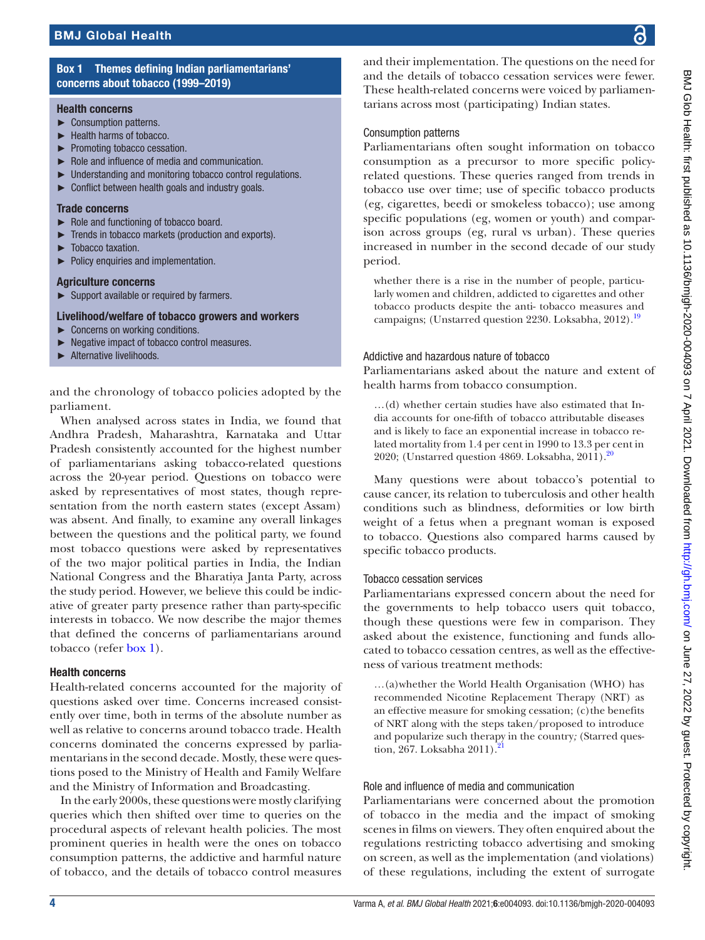## Box 1 Themes defining Indian parliamentarians' concerns about tobacco (1999–2019)

#### <span id="page-3-0"></span>Health concerns

- ► Consumption patterns.
- ► Health harms of tobacco.
- ► Promoting tobacco cessation.
- ► Role and influence of media and communication.
- **Understanding and monitoring tobacco control regulations.**
- $\triangleright$  Conflict between health goals and industry goals.

#### Trade concerns

- ► Role and functioning of tobacco board.
- ► Trends in tobacco markets (production and exports).
- Tobacco taxation.
- ► Policy enquiries and implementation.

#### Agriculture concerns

► Support available or required by farmers.

#### Livelihood/welfare of tobacco growers and workers

- ► Concerns on working conditions.
- ► Negative impact of tobacco control measures.
- ► Alternative livelihoods.

and the chronology of tobacco policies adopted by the parliament.

When analysed across states in India, we found that Andhra Pradesh, Maharashtra, Karnataka and Uttar Pradesh consistently accounted for the highest number of parliamentarians asking tobacco-related questions across the 20-year period. Questions on tobacco were asked by representatives of most states, though representation from the north eastern states (except Assam) was absent. And finally, to examine any overall linkages between the questions and the political party, we found most tobacco questions were asked by representatives of the two major political parties in India, the Indian National Congress and the Bharatiya Janta Party, across the study period. However, we believe this could be indicative of greater party presence rather than party-specific interests in tobacco. We now describe the major themes that defined the concerns of parliamentarians around tobacco (refer [box](#page-3-0) 1).

#### Health concerns

Health-related concerns accounted for the majority of questions asked over time. Concerns increased consistently over time, both in terms of the absolute number as well as relative to concerns around tobacco trade. Health concerns dominated the concerns expressed by parliamentarians in the second decade. Mostly, these were questions posed to the Ministry of Health and Family Welfare and the Ministry of Information and Broadcasting.

In the early 2000s, these questions were mostly clarifying queries which then shifted over time to queries on the procedural aspects of relevant health policies. The most prominent queries in health were the ones on tobacco consumption patterns, the addictive and harmful nature of tobacco, and the details of tobacco control measures

and their implementation. The questions on the need for and the details of tobacco cessation services were fewer. These health-related concerns were voiced by parliamentarians across most (participating) Indian states.

#### Consumption patterns

Parliamentarians often sought information on tobacco consumption as a precursor to more specific policyrelated questions. These queries ranged from trends in tobacco use over time; use of specific tobacco products (eg, cigarettes, beedi or smokeless tobacco); use among specific populations (eg, women or youth) and comparison across groups (eg, rural vs urban). These queries increased in number in the second decade of our study period.

whether there is a rise in the number of people, particularly women and children, addicted to cigarettes and other tobacco products despite the anti- tobacco measures and campaigns; (Unstarred question 2230. Loksabha, 2012).<sup>19</sup>

#### Addictive and hazardous nature of tobacco

Parliamentarians asked about the nature and extent of health harms from tobacco consumption.

…(d) whether certain studies have also estimated that India accounts for one-fifth of tobacco attributable diseases and is likely to face an exponential increase in tobacco related mortality from 1.4 per cent in 1990 to 13.3 per cent in 2020; (Unstarred question 4869. Loksabha,  $2011$ ).<sup>20</sup>

Many questions were about tobacco's potential to cause cancer, its relation to tuberculosis and other health conditions such as blindness, deformities or low birth weight of a fetus when a pregnant woman is exposed to tobacco. Questions also compared harms caused by specific tobacco products.

#### Tobacco cessation services

Parliamentarians expressed concern about the need for the governments to help tobacco users quit tobacco, though these questions were few in comparison. They asked about the existence, functioning and funds allocated to tobacco cessation centres, as well as the effectiveness of various treatment methods:

*…*(a)whether the World Health Organisation (WHO) has recommended Nicotine Replacement Therapy (NRT) as an effective measure for smoking cessation; (c)the benefits of NRT along with the steps taken/proposed to introduce and popularize such therapy in the country*;* (Starred question, 267. Loksabha 2011).

## Role and influence of media and communication

Parliamentarians were concerned about the promotion of tobacco in the media and the impact of smoking scenes in films on viewers. They often enquired about the regulations restricting tobacco advertising and smoking on screen, as well as the implementation (and violations) of these regulations, including the extent of surrogate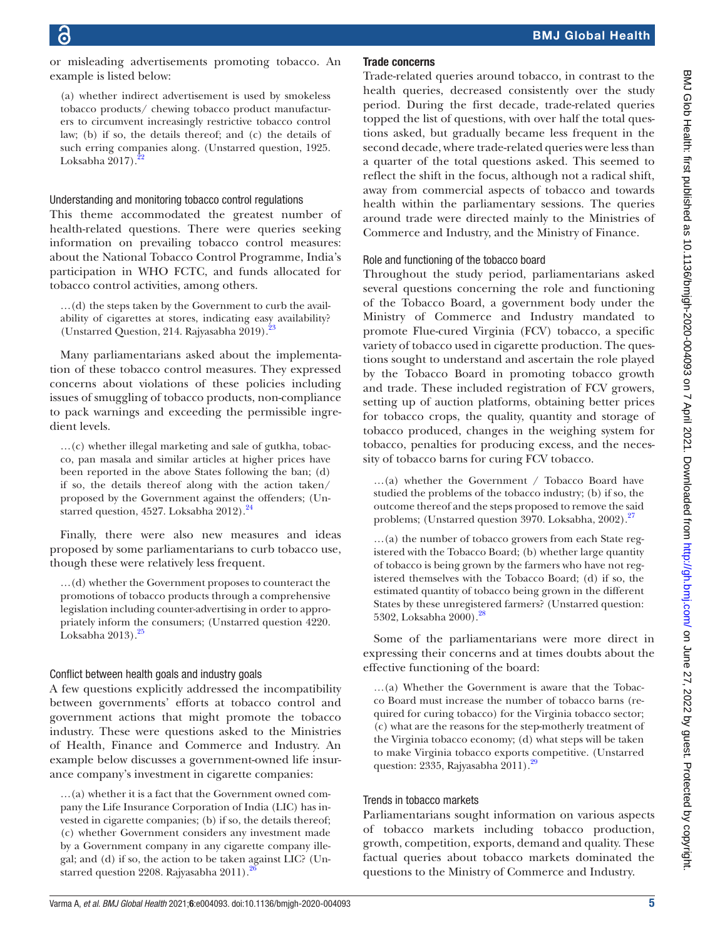or misleading advertisements promoting tobacco. An example is listed below:

(a) whether indirect advertisement is used by smokeless tobacco products/ chewing tobacco product manufacturers to circumvent increasingly restrictive tobacco control law; (b) if so, the details thereof; and (c) the details of such erring companies along. (Unstarred question, 1925. Loksabha  $2017$ .

#### Understanding and monitoring tobacco control regulations

This theme accommodated the greatest number of health-related questions. There were queries seeking information on prevailing tobacco control measures: about the National Tobacco Control Programme, India's participation in WHO FCTC, and funds allocated for tobacco control activities, among others.

…(d) the steps taken by the Government to curb the availability of cigarettes at stores, indicating easy availability? (Unstarred Question, 214. Rajyasabha 2019).<sup>2</sup>

Many parliamentarians asked about the implementation of these tobacco control measures. They expressed concerns about violations of these policies including issues of smuggling of tobacco products, non-compliance to pack warnings and exceeding the permissible ingredient levels.

…(c) whether illegal marketing and sale of gutkha, tobacco, pan masala and similar articles at higher prices have been reported in the above States following the ban; (d) if so, the details thereof along with the action taken/ proposed by the Government against the offenders; (Unstarred question, 4527. Loksabha  $2012$ .<sup>[24](#page-8-19)</sup>

Finally, there were also new measures and ideas proposed by some parliamentarians to curb tobacco use, though these were relatively less frequent.

…(d) whether the Government proposes to counteract the promotions of tobacco products through a comprehensive legislation including counter-advertising in order to appropriately inform the consumers; (Unstarred question 4220. Loksabha  $2013$ .<sup>[25](#page-8-20)</sup>

#### Conflict between health goals and industry goals

A few questions explicitly addressed the incompatibility between governments' efforts at tobacco control and government actions that might promote the tobacco industry. These were questions asked to the Ministries of Health, Finance and Commerce and Industry. An example below discusses a government-owned life insurance company's investment in cigarette companies:

…(a) whether it is a fact that the Government owned company the Life Insurance Corporation of India (LIC) has invested in cigarette companies; (b) if so, the details thereof; (c) whether Government considers any investment made by a Government company in any cigarette company illegal; and (d) if so, the action to be taken against LIC? (Unstarred question 2208. Rajyasabha 2011).<sup>2</sup>

#### Trade concerns

Trade-related queries around tobacco, in contrast to the health queries, decreased consistently over the study period. During the first decade, trade-related queries topped the list of questions, with over half the total questions asked, but gradually became less frequent in the second decade, where trade-related queries were less than a quarter of the total questions asked. This seemed to reflect the shift in the focus, although not a radical shift, away from commercial aspects of tobacco and towards health within the parliamentary sessions. The queries around trade were directed mainly to the Ministries of Commerce and Industry, and the Ministry of Finance.

#### Role and functioning of the tobacco board

Throughout the study period, parliamentarians asked several questions concerning the role and functioning of the Tobacco Board, a government body under the Ministry of Commerce and Industry mandated to promote Flue-cured Virginia (FCV) tobacco, a specific variety of tobacco used in cigarette production. The questions sought to understand and ascertain the role played by the Tobacco Board in promoting tobacco growth and trade. These included registration of FCV growers, setting up of auction platforms, obtaining better prices for tobacco crops, the quality, quantity and storage of tobacco produced, changes in the weighing system for tobacco, penalties for producing excess, and the necessity of tobacco barns for curing FCV tobacco.

…(a) whether the Government / Tobacco Board have studied the problems of the tobacco industry; (b) if so, the outcome thereof and the steps proposed to remove the said problems; (Unstarred question 3970. Loksabha, 2002).<sup>27</sup>

…(a) the number of tobacco growers from each State registered with the Tobacco Board; (b) whether large quantity of tobacco is being grown by the farmers who have not registered themselves with the Tobacco Board; (d) if so, the estimated quantity of tobacco being grown in the different States by these unregistered farmers? (Unstarred question: 5302, Loksabha 2000)[.28](#page-8-23)

Some of the parliamentarians were more direct in expressing their concerns and at times doubts about the effective functioning of the board:

*…*(a) Whether the Government is aware that the Tobacco Board must increase the number of tobacco barns (required for curing tobacco) for the Virginia tobacco sector; (c) what are the reasons for the step-motherly treatment of the Virginia tobacco economy; (d) what steps will be taken to make Virginia tobacco exports competitive. (Unstarred question: 2335, Rajyasabha 2011).<sup>29</sup>

## Trends in tobacco markets

Parliamentarians sought information on various aspects of tobacco markets including tobacco production, growth, competition, exports, demand and quality. These factual queries about tobacco markets dominated the questions to the Ministry of Commerce and Industry.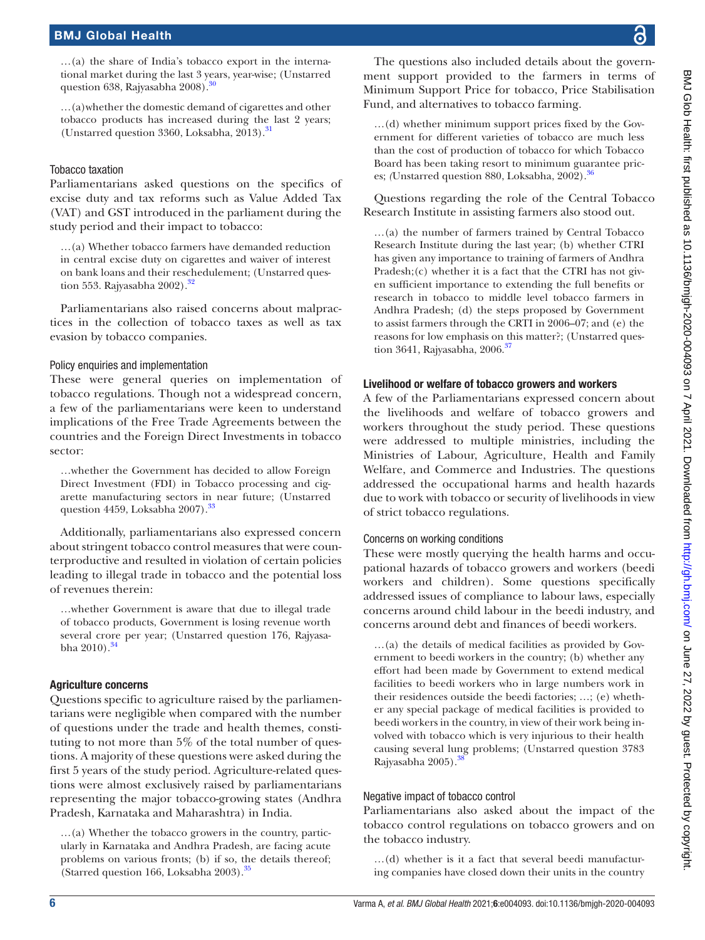…(a) the share of India's tobacco export in the international market during the last 3 years, year-wise; (Unstarred question 638, Rajyasabha 2008).<sup>30</sup>

…(a)whether the domestic demand of cigarettes and other tobacco products has increased during the last 2 years; (Unstarred question 3360, Loksabha, 2013).<sup>31</sup>

## Tobacco taxation

Parliamentarians asked questions on the specifics of excise duty and tax reforms such as Value Added Tax (VAT) and GST introduced in the parliament during the study period and their impact to tobacco:

…(a) Whether tobacco farmers have demanded reduction in central excise duty on cigarettes and waiver of interest on bank loans and their reschedulement; (Unstarred question 553. Rajyasabha 2002).<sup>32</sup>

Parliamentarians also raised concerns about malpractices in the collection of tobacco taxes as well as tax evasion by tobacco companies.

## Policy enquiries and implementation

These were general queries on implementation of tobacco regulations. Though not a widespread concern, a few of the parliamentarians were keen to understand implications of the Free Trade Agreements between the countries and the Foreign Direct Investments in tobacco sector:

…whether the Government has decided to allow Foreign Direct Investment (FDI) in Tobacco processing and cigarette manufacturing sectors in near future; (Unstarred question 4459, Loksabha 2007).<sup>[33](#page-8-28)</sup>

Additionally, parliamentarians also expressed concern about stringent tobacco control measures that were counterproductive and resulted in violation of certain policies leading to illegal trade in tobacco and the potential loss of revenues therein:

…whether Government is aware that due to illegal trade of tobacco products, Government is losing revenue worth several crore per year; (Unstarred question 176, Rajyasabha  $2010$ .  $34$ 

## Agriculture concerns

Questions specific to agriculture raised by the parliamentarians were negligible when compared with the number of questions under the trade and health themes, constituting to not more than 5% of the total number of questions. A majority of these questions were asked during the first 5 years of the study period. Agriculture-related questions were almost exclusively raised by parliamentarians representing the major tobacco-growing states (Andhra Pradesh, Karnataka and Maharashtra) in India.

…(a) Whether the tobacco growers in the country, particularly in Karnataka and Andhra Pradesh, are facing acute problems on various fronts; (b) if so, the details thereof; (Starred question 166, Loksabha 2003).<sup>35</sup>

The questions also included details about the government support provided to the farmers in terms of Minimum Support Price for tobacco, Price Stabilisation Fund, and alternatives to tobacco farming.

…(d) whether minimum support prices fixed by the Government for different varieties of tobacco are much less than the cost of production of tobacco for which Tobacco Board has been taking resort to minimum guarantee prices; *(Unstarred question 880, Loksabha, 2002)*.<sup>[36](#page-9-0)</sup>

Questions regarding the role of the Central Tobacco Research Institute in assisting farmers also stood out.

…(a) the number of farmers trained by Central Tobacco Research Institute during the last year; (b) whether CTRI has given any importance to training of farmers of Andhra Pradesh;(c) whether it is a fact that the CTRI has not given sufficient importance to extending the full benefits or research in tobacco to middle level tobacco farmers in Andhra Pradesh; (d) the steps proposed by Government to assist farmers through the CRTI in 2006–07; and (e) the reasons for low emphasis on this matter?; (Unstarred question 3641, Rajyasabha, 2006.<sup>37</sup>

## Livelihood or welfare of tobacco growers and workers

A few of the Parliamentarians expressed concern about the livelihoods and welfare of tobacco growers and workers throughout the study period. These questions were addressed to multiple ministries, including the Ministries of Labour, Agriculture, Health and Family Welfare, and Commerce and Industries. The questions addressed the occupational harms and health hazards due to work with tobacco or security of livelihoods in view of strict tobacco regulations.

## Concerns on working conditions

These were mostly querying the health harms and occupational hazards of tobacco growers and workers (beedi workers and children). Some questions specifically addressed issues of compliance to labour laws, especially concerns around child labour in the beedi industry, and concerns around debt and finances of beedi workers.

…(a) the details of medical facilities as provided by Government to beedi workers in the country; (b) whether any effort had been made by Government to extend medical facilities to beedi workers who in large numbers work in their residences outside the beedi factories; …; (e) whether any special package of medical facilities is provided to beedi workers in the country, in view of their work being involved with tobacco which is very injurious to their health causing several lung problems; (Unstarred question 3783 Rajyasabha 2005).<sup>38</sup>

## Negative impact of tobacco control

Parliamentarians also asked about the impact of the tobacco control regulations on tobacco growers and on the tobacco industry.

…(d) whether is it a fact that several beedi manufacturing companies have closed down their units in the country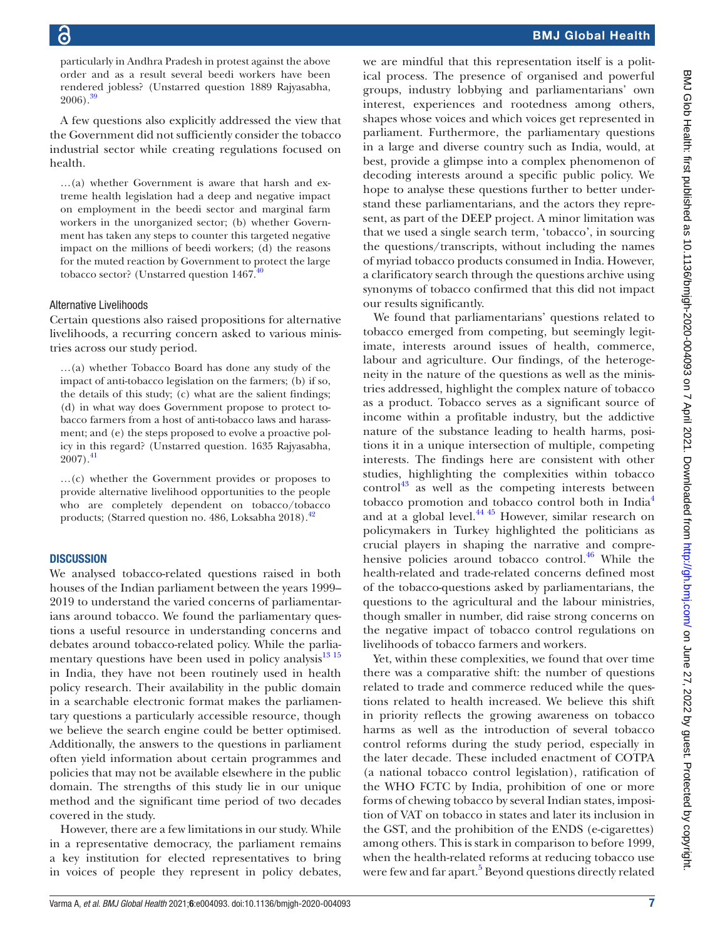particularly in Andhra Pradesh in protest against the above order and as a result several beedi workers have been rendered jobless? (Unstarred question 1889 Rajyasabha,  $2006$ ).<sup>39</sup>

A few questions also explicitly addressed the view that the Government did not sufficiently consider the tobacco industrial sector while creating regulations focused on health.

…(a) whether Government is aware that harsh and extreme health legislation had a deep and negative impact on employment in the beedi sector and marginal farm workers in the unorganized sector; (b) whether Government has taken any steps to counter this targeted negative impact on the millions of beedi workers; (d) the reasons for the muted reaction by Government to protect the large tobacco sector? (Unstarred question  $1467.^{40}$  $1467.^{40}$  $1467.^{40}$ 

#### Alternative Livelihoods

Certain questions also raised propositions for alternative livelihoods, a recurring concern asked to various ministries across our study period.

…(a) whether Tobacco Board has done any study of the impact of anti-tobacco legislation on the farmers; (b) if so, the details of this study; (c) what are the salient findings; (d) in what way does Government propose to protect tobacco farmers from a host of anti-tobacco laws and harassment; and (e) the steps proposed to evolve a proactive policy in this regard? (Unstarred question. 1635 Rajyasabha,  $2007$ .<sup>41</sup>

…(c) whether the Government provides or proposes to provide alternative livelihood opportunities to the people who are completely dependent on tobacco/tobacco products; (Starred question no. 486, Loksabha 2018).<sup>42</sup>

#### **DISCUSSION**

We analysed tobacco-related questions raised in both houses of the Indian parliament between the years 1999– 2019 to understand the varied concerns of parliamentarians around tobacco. We found the parliamentary questions a useful resource in understanding concerns and debates around tobacco-related policy. While the parliamentary questions have been used in policy analysis<sup>13 15</sup> in India, they have not been routinely used in health policy research. Their availability in the public domain in a searchable electronic format makes the parliamentary questions a particularly accessible resource, though we believe the search engine could be better optimised. Additionally, the answers to the questions in parliament often yield information about certain programmes and policies that may not be available elsewhere in the public domain. The strengths of this study lie in our unique method and the significant time period of two decades covered in the study.

However, there are a few limitations in our study. While in a representative democracy, the parliament remains a key institution for elected representatives to bring in voices of people they represent in policy debates,

we are mindful that this representation itself is a political process. The presence of organised and powerful groups, industry lobbying and parliamentarians' own interest, experiences and rootedness among others, shapes whose voices and which voices get represented in parliament. Furthermore, the parliamentary questions in a large and diverse country such as India, would, at best, provide a glimpse into a complex phenomenon of decoding interests around a specific public policy. We hope to analyse these questions further to better understand these parliamentarians, and the actors they represent, as part of the DEEP project. A minor limitation was that we used a single search term, 'tobacco', in sourcing the questions/transcripts, without including the names of myriad tobacco products consumed in India. However, a clarificatory search through the questions archive using synonyms of tobacco confirmed that this did not impact our results significantly.

We found that parliamentarians' questions related to tobacco emerged from competing, but seemingly legitimate, interests around issues of health, commerce, labour and agriculture. Our findings, of the heterogeneity in the nature of the questions as well as the ministries addressed, highlight the complex nature of tobacco as a product. Tobacco serves as a significant source of income within a profitable industry, but the addictive nature of the substance leading to health harms, positions it in a unique intersection of multiple, competing interests. The findings here are consistent with other studies, highlighting the complexities within tobacco  $control^{43}$  as well as the competing interests between tobacco promotion and tobacco control both in India[4](#page-8-2) and at a global level. $^{44}$   $^{45}$  However, similar research on policymakers in Turkey highlighted the politicians as crucial players in shaping the narrative and comprehensive policies around tobacco control. $^{46}$  While the health-related and trade-related concerns defined most of the tobacco-questions asked by parliamentarians, the questions to the agricultural and the labour ministries, though smaller in number, did raise strong concerns on the negative impact of tobacco control regulations on livelihoods of tobacco farmers and workers.

Yet, within these complexities, we found that over time there was a comparative shift: the number of questions related to trade and commerce reduced while the questions related to health increased. We believe this shift in priority reflects the growing awareness on tobacco harms as well as the introduction of several tobacco control reforms during the study period, especially in the later decade. These included enactment of COTPA (a national tobacco control legislation), ratification of the WHO FCTC by India, prohibition of one or more forms of chewing tobacco by several Indian states, imposition of VAT on tobacco in states and later its inclusion in the GST, and the prohibition of the ENDS (e-cigarettes) among others. This is stark in comparison to before 1999, when the health-related reforms at reducing tobacco use were few and far apart.<sup>5</sup> Beyond questions directly related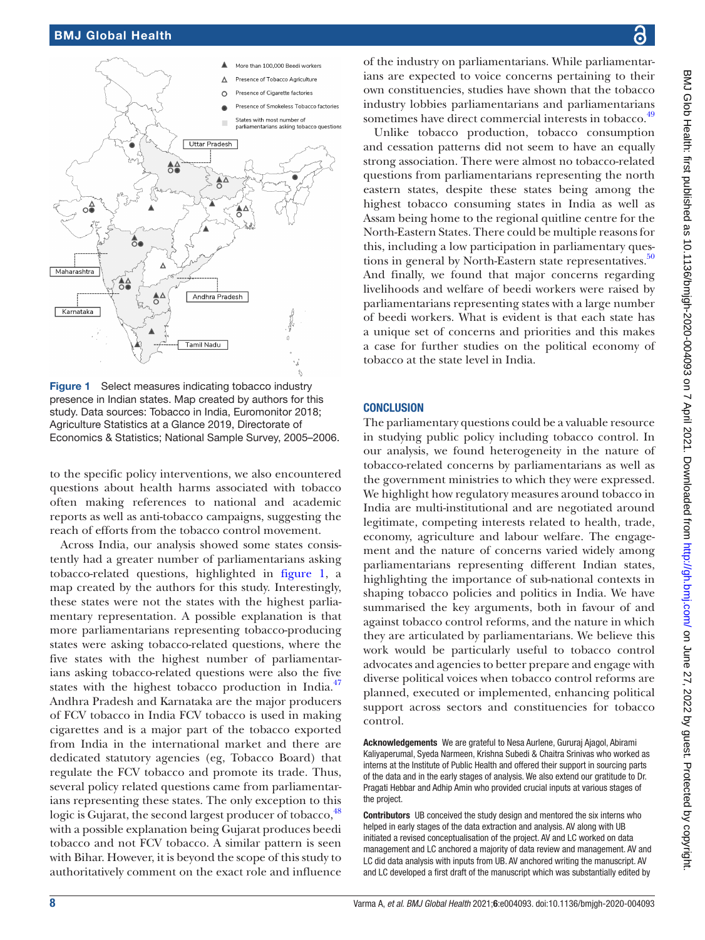

<span id="page-7-0"></span>Figure 1 Select measures indicating tobacco industry presence in Indian states. Map created by authors for this study. Data sources: Tobacco in India, Euromonitor 2018; Agriculture Statistics at a Glance 2019, Directorate of Economics & Statistics; National Sample Survey, 2005–2006.

to the specific policy interventions, we also encountered questions about health harms associated with tobacco often making references to national and academic reports as well as anti-tobacco campaigns, suggesting the reach of efforts from the tobacco control movement.

Across India, our analysis showed some states consistently had a greater number of parliamentarians asking tobacco-related questions, highlighted in [figure](#page-7-0) 1, a map created by the authors for this study. Interestingly, these states were not the states with the highest parliamentary representation. A possible explanation is that more parliamentarians representing tobacco-producing states were asking tobacco-related questions, where the five states with the highest number of parliamentarians asking tobacco-related questions were also the five states with the highest tobacco production in India.<sup>[47](#page-9-10)</sup> Andhra Pradesh and Karnataka are the major producers of FCV tobacco in India FCV tobacco is used in making cigarettes and is a major part of the tobacco exported from India in the international market and there are dedicated statutory agencies (eg, Tobacco Board) that regulate the FCV tobacco and promote its trade. Thus, several policy related questions came from parliamentarians representing these states. The only exception to this logic is Gujarat, the second largest producer of tobacco, <sup>[48](#page-9-11)</sup> with a possible explanation being Gujarat produces beedi tobacco and not FCV tobacco. A similar pattern is seen with Bihar. However, it is beyond the scope of this study to authoritatively comment on the exact role and influence

of the industry on parliamentarians. While parliamentarians are expected to voice concerns pertaining to their own constituencies, studies have shown that the tobacco industry lobbies parliamentarians and parliamentarians sometimes have direct commercial interests in tobacco.<sup>[49](#page-9-12)</sup>

Unlike tobacco production, tobacco consumption and cessation patterns did not seem to have an equally strong association. There were almost no tobacco-related questions from parliamentarians representing the north eastern states, despite these states being among the highest tobacco consuming states in India as well as Assam being home to the regional quitline centre for the North-Eastern States. There could be multiple reasons for this, including a low participation in parliamentary questions in general by North-Eastern state representatives. $50$ And finally, we found that major concerns regarding livelihoods and welfare of beedi workers were raised by parliamentarians representing states with a large number of beedi workers. What is evident is that each state has a unique set of concerns and priorities and this makes a case for further studies on the political economy of tobacco at the state level in India.

#### **CONCLUSION**

The parliamentary questions could be a valuable resource in studying public policy including tobacco control. In our analysis, we found heterogeneity in the nature of tobacco-related concerns by parliamentarians as well as the government ministries to which they were expressed. We highlight how regulatory measures around tobacco in India are multi-institutional and are negotiated around legitimate, competing interests related to health, trade, economy, agriculture and labour welfare. The engagement and the nature of concerns varied widely among parliamentarians representing different Indian states, highlighting the importance of sub-national contexts in shaping tobacco policies and politics in India. We have summarised the key arguments, both in favour of and against tobacco control reforms, and the nature in which they are articulated by parliamentarians. We believe this work would be particularly useful to tobacco control advocates and agencies to better prepare and engage with diverse political voices when tobacco control reforms are planned, executed or implemented, enhancing political support across sectors and constituencies for tobacco control.

Acknowledgements We are grateful to Nesa Aurlene, Gururaj Ajagol, Abirami Kaliyaperumal, Syeda Narmeen, Krishna Subedi & Chaitra Srinivas who worked as interns at the Institute of Public Health and offered their support in sourcing parts of the data and in the early stages of analysis. We also extend our gratitude to Dr. Pragati Hebbar and Adhip Amin who provided crucial inputs at various stages of the project.

Contributors UB conceived the study design and mentored the six interns who helped in early stages of the data extraction and analysis. AV along with UB initiated a revised conceptualisation of the project. AV and LC worked on data management and LC anchored a majority of data review and management. AV and LC did data analysis with inputs from UB. AV anchored writing the manuscript. AV and LC developed a first draft of the manuscript which was substantially edited by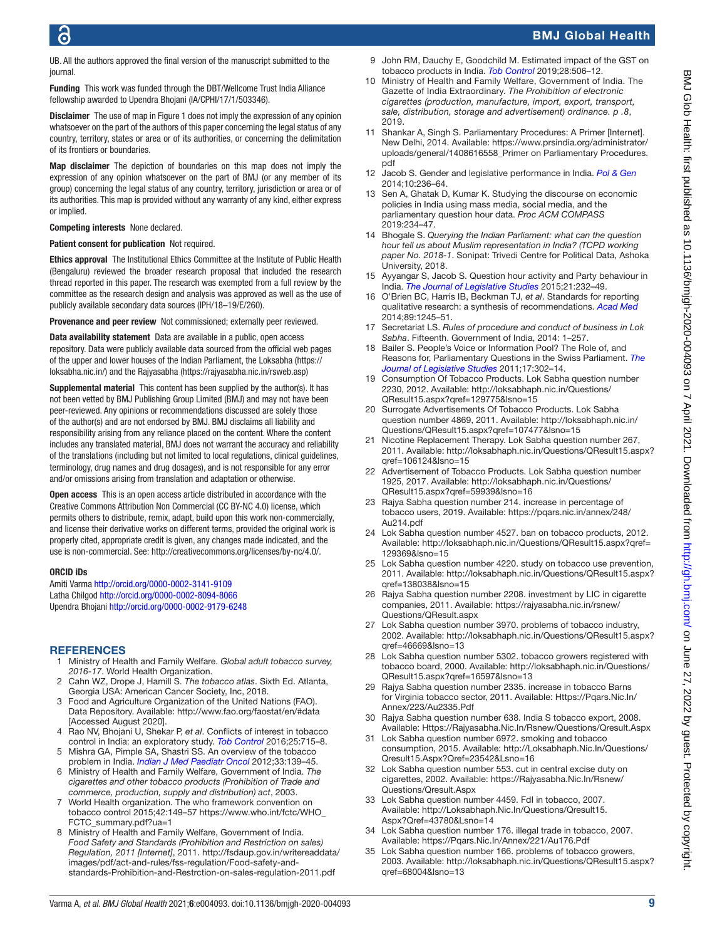UB. All the authors approved the final version of the manuscript submitted to the journal.

Funding This work was funded through the DBT/Wellcome Trust India Alliance fellowship awarded to Upendra Bhojani (IA/CPHI/17/1/503346).

**Disclaimer** The use of map in Figure 1 does not imply the expression of any opinion whatsoever on the part of the authors of this paper concerning the legal status of any country, territory, states or area or of its authorities, or concerning the delimitation of its frontiers or boundaries.

Map disclaimer The depiction of boundaries on this map does not imply the expression of any opinion whatsoever on the part of BMJ (or any member of its group) concerning the legal status of any country, territory, jurisdiction or area or of its authorities. This map is provided without any warranty of any kind, either express or implied.

#### Competing interests None declared.

#### Patient consent for publication Not required.

Ethics approval The Institutional Ethics Committee at the Institute of Public Health (Bengaluru) reviewed the broader research proposal that included the research thread reported in this paper. The research was exempted from a full review by the committee as the research design and analysis was approved as well as the use of publicly available secondary data sources (IPH/18–19/E/260).

Provenance and peer review Not commissioned; externally peer reviewed.

Data availability statement Data are available in a public, open access repository. Data were publicly available data sourced from the official web pages of the upper and lower houses of the Indian Parliament, the Loksabha [\(https://](https://loksabha.nic.in/) [loksabha.nic.in/\)](https://loksabha.nic.in/) and the Rajyasabha [\(https://rajyasabha.nic.in/rsweb.asp\)](https://rajyasabha.nic.in/rsweb.asp)

Supplemental material This content has been supplied by the author(s). It has not been vetted by BMJ Publishing Group Limited (BMJ) and may not have been peer-reviewed. Any opinions or recommendations discussed are solely those of the author(s) and are not endorsed by BMJ. BMJ disclaims all liability and responsibility arising from any reliance placed on the content. Where the content includes any translated material, BMJ does not warrant the accuracy and reliability of the translations (including but not limited to local regulations, clinical guidelines, terminology, drug names and drug dosages), and is not responsible for any error and/or omissions arising from translation and adaptation or otherwise.

Open access This is an open access article distributed in accordance with the Creative Commons Attribution Non Commercial (CC BY-NC 4.0) license, which permits others to distribute, remix, adapt, build upon this work non-commercially, and license their derivative works on different terms, provided the original work is properly cited, appropriate credit is given, any changes made indicated, and the use is non-commercial. See:<http://creativecommons.org/licenses/by-nc/4.0/>.

#### ORCID iDs

Amiti Varma <http://orcid.org/0000-0002-3141-9109> Latha Chilgod<http://orcid.org/0000-0002-8094-8066> Upendra Bhojani <http://orcid.org/0000-0002-9179-6248>

#### **REFERENCES**

- <span id="page-8-0"></span>1 Ministry of Health and Family Welfare. *Global adult tobacco survey, 2016-17*. World Health Organization.
- 2 Cahn WZ, Drope J, Hamill S. *The tobacco atlas*. Sixth Ed. Atlanta, Georgia USA: American Cancer Society, Inc, 2018.
- <span id="page-8-1"></span>3 Food and Agriculture Organization of the United Nations (FAO). Data Repository. Available: <http://www.fao.org/faostat/en/#data> [Accessed August 2020].
- <span id="page-8-2"></span>4 Rao NV, Bhojani U, Shekar P, *et al*. Conflicts of interest in tobacco control in India: an exploratory study. *[Tob Control](http://dx.doi.org/10.1136/tobaccocontrol-2015-052503)* 2016;25:715–8.
- <span id="page-8-32"></span>5 Mishra GA, Pimple SA, Shastri SS. An overview of the tobacco problem in India. *[Indian J Med Paediatr Oncol](http://dx.doi.org/10.4103/0971-5851.103139)* 2012;33:139–45.
- <span id="page-8-3"></span>6 Ministry of Health and Family Welfare, Government of India. *The cigarettes and other tobacco products (Prohibition of Trade and commerce, production, supply and distribution) act*, 2003.
- <span id="page-8-4"></span>7 World Health organization. The who framework convention on tobacco control 2015;42:149–57 [https://www.who.int/fctc/WHO\\_](https://www.who.int/fctc/WHO_FCTC_summary.pdf?ua=1) [FCTC\\_summary.pdf?ua=1](https://www.who.int/fctc/WHO_FCTC_summary.pdf?ua=1)
- <span id="page-8-5"></span>8 Ministry of Health and Family Welfare, Government of India. *Food Safety and Standards (Prohibition and Restriction on sales) Regulation, 2011 [Internet]*, 2011. [http://fsdaup.gov.in/writereaddata/](http://fsdaup.gov.in/writereaddata/images/pdf/act-and-rules/fss-regulation/Food-safety-and-standards-Prohibition-and-Restrction-on-sales-regulation-2011.pdf) [images/pdf/act-and-rules/fss-regulation/Food-safety-and](http://fsdaup.gov.in/writereaddata/images/pdf/act-and-rules/fss-regulation/Food-safety-and-standards-Prohibition-and-Restrction-on-sales-regulation-2011.pdf)[standards-Prohibition-and-Restrction-on-sales-regulation-2011.pdf](http://fsdaup.gov.in/writereaddata/images/pdf/act-and-rules/fss-regulation/Food-safety-and-standards-Prohibition-and-Restrction-on-sales-regulation-2011.pdf)
- <span id="page-8-6"></span>9 John RM, Dauchy E, Goodchild M. Estimated impact of the GST on tobacco products in India. *[Tob Control](http://dx.doi.org/10.1136/tobaccocontrol-2018-054479)* 2019;28:506–12.
- <span id="page-8-7"></span>10 Ministry of Health and Family Welfare, Government of India. The Gazette of India Extraordinary. *The Prohibition of electronic cigarettes (production, manufacture, import, export, transport, sale, distribution, storage and advertisement) ordinance. p .8*, 2019.
- <span id="page-8-8"></span>11 Shankar A, Singh S. Parliamentary Procedures: A Primer [Internet]. New Delhi, 2014. Available: [https://www.prsindia.org/administrator/](https://www.prsindia.org/administrator/uploads/general/1408616558_Primer%20on%20Parliamentary%20Procedures.pdf) [uploads/general/1408616558\\_Primer on Parliamentary Procedures.](https://www.prsindia.org/administrator/uploads/general/1408616558_Primer%20on%20Parliamentary%20Procedures.pdf) [pdf](https://www.prsindia.org/administrator/uploads/general/1408616558_Primer%20on%20Parliamentary%20Procedures.pdf)
- <span id="page-8-9"></span>12 Jacob S. Gender and legislative performance in India. *[Pol & Gen](http://dx.doi.org/10.1017/S1743923X14000051)* 2014;10:236–64.
- <span id="page-8-31"></span>13 Sen A, Ghatak D, Kumar K. Studying the discourse on economic policies in India using mass media, social media, and the parliamentary question hour data. *Proc ACM COMPASS* 2019:234–47.
- <span id="page-8-12"></span>14 Bhogale S. *Querying the Indian Parliament: what can the question hour tell us about Muslim representation in India? (TCPD working paper No. 2018-1*. Sonipat: Trivedi Centre for Political Data, Ashoka University, 2018.
- 15 Ayyangar S, Jacob S. Question hour activity and Party behaviour in India. *[The Journal of Legislative Studies](http://dx.doi.org/10.1080/13572334.2014.962851)* 2015;21:232–49.
- <span id="page-8-10"></span>16 O'Brien BC, Harris IB, Beckman TJ, *et al*. Standards for reporting qualitative research: a synthesis of recommendations. *[Acad Med](http://dx.doi.org/10.1097/ACM.0000000000000388)* 2014;89:1245–51.
- <span id="page-8-11"></span>17 Secretariat LS. *Rules of procedure and conduct of business in Lok Sabha*. Fifteenth. Government of India, 2014: 1–257.
- <span id="page-8-13"></span>18 Bailer S. People's Voice or Information Pool? The Role of, and Reasons for, Parliamentary Questions in the Swiss Parliament. *[The](http://dx.doi.org/10.1080/13572334.2011.595123)  [Journal of Legislative Studies](http://dx.doi.org/10.1080/13572334.2011.595123)* 2011;17:302–14.
- <span id="page-8-14"></span>19 Consumption Of Tobacco Products. Lok Sabha question number 2230, 2012. Available: [http://loksabhaph.nic.in/Questions/](http://loksabhaph.nic.in/Questions/QResult15.aspx?qref=129775&lsno=15) [QResult15.aspx?qref=129775&lsno=15](http://loksabhaph.nic.in/Questions/QResult15.aspx?qref=129775&lsno=15)
- <span id="page-8-15"></span>20 Surrogate Advertisements Of Tobacco Products. Lok Sabha question number 4869, 2011. Available: [http://loksabhaph.nic.in/](http://loksabhaph.nic.in/Questions/QResult15.aspx?qref=107477&lsno=15) [Questions/QResult15.aspx?qref=107477&lsno=15](http://loksabhaph.nic.in/Questions/QResult15.aspx?qref=107477&lsno=15)
- <span id="page-8-16"></span>21 Nicotine Replacement Therapy. Lok Sabha question number 267, 2011. Available: [http://loksabhaph.nic.in/Questions/QResult15.aspx?](http://loksabhaph.nic.in/Questions/QResult15.aspx?qref=106124&lsno=15) [qref=106124&lsno=15](http://loksabhaph.nic.in/Questions/QResult15.aspx?qref=106124&lsno=15)
- <span id="page-8-17"></span>22 Advertisement of Tobacco Products. Lok Sabha question number 1925, 2017. Available: [http://loksabhaph.nic.in/Questions/](http://loksabhaph.nic.in/Questions/QResult15.aspx?qref=59939&lsno=16) [QResult15.aspx?qref=59939&lsno=16](http://loksabhaph.nic.in/Questions/QResult15.aspx?qref=59939&lsno=16)
- <span id="page-8-18"></span>23 Rajya Sabha question number 214. increase in percentage of tobacco users, 2019. Available: [https://pqars.nic.in/annex/248/](https://pqars.nic.in/annex/248/Au214.pdf) [Au214.pdf](https://pqars.nic.in/annex/248/Au214.pdf)
- <span id="page-8-19"></span>24 Lok Sabha question number 4527. ban on tobacco products, 2012. Available: [http://loksabhaph.nic.in/Questions/QResult15.aspx?qref=](http://loksabhaph.nic.in/Questions/QResult15.aspx?qref=129369&lsno=15) [129369&lsno=15](http://loksabhaph.nic.in/Questions/QResult15.aspx?qref=129369&lsno=15)
- <span id="page-8-20"></span>25 Lok Sabha question number 4220. study on tobacco use prevention, 2011. Available: [http://loksabhaph.nic.in/Questions/QResult15.aspx?](http://loksabhaph.nic.in/Questions/QResult15.aspx?qref=138038&lsno=15) [qref=138038&lsno=15](http://loksabhaph.nic.in/Questions/QResult15.aspx?qref=138038&lsno=15)
- <span id="page-8-21"></span>26 Rajya Sabha question number 2208. investment by LIC in cigarette companies, 2011. Available: [https://rajyasabha.nic.in/rsnew/](https://rajyasabha.nic.in/rsnew/Questions/QResult.aspx) [Questions/QResult.aspx](https://rajyasabha.nic.in/rsnew/Questions/QResult.aspx)
- <span id="page-8-22"></span>27 Lok Sabha question number 3970. problems of tobacco industry, 2002. Available: [http://loksabhaph.nic.in/Questions/QResult15.aspx?](http://loksabhaph.nic.in/Questions/QResult15.aspx?qref=46669&lsno=13) [qref=46669&lsno=13](http://loksabhaph.nic.in/Questions/QResult15.aspx?qref=46669&lsno=13)
- <span id="page-8-23"></span>28 Lok Sabha question number 5302. tobacco growers registered with tobacco board, 2000. Available: [http://loksabhaph.nic.in/Questions/](http://loksabhaph.nic.in/Questions/QResult15.aspx?qref=16597&lsno=13) [QResult15.aspx?qref=16597&lsno=13](http://loksabhaph.nic.in/Questions/QResult15.aspx?qref=16597&lsno=13)
- <span id="page-8-24"></span>29 Rajya Sabha question number 2335. increase in tobacco Barns for Virginia tobacco sector, 2011. Available: [Https://Pqars.Nic.In/](Https://Pqars.Nic.In/Annex/223/Au2335.Pdf) [Annex/223/Au2335.Pdf](Https://Pqars.Nic.In/Annex/223/Au2335.Pdf)
- <span id="page-8-25"></span>30 Rajya Sabha question number 638. India S tobacco export, 2008. Available: <Https://Rajyasabha.Nic.In/Rsnew/Questions/Qresult.Aspx>
- <span id="page-8-26"></span>31 Lok Sabha question number 6972. smoking and tobacco consumption, 2015. Available: [http://Loksabhaph.Nic.In/Questions/](http://Loksabhaph.Nic.In/Questions/Qresult15.Aspx?Qref=23542&Lsno=16) [Qresult15.Aspx?Qref=23542&Lsno=16](http://Loksabhaph.Nic.In/Questions/Qresult15.Aspx?Qref=23542&Lsno=16)
- <span id="page-8-27"></span>32 Lok Sabha question number 553. cut in central excise duty on cigarettes, 2002. Available: [https://Rajyasabha.Nic.In/Rsnew/](https://Rajyasabha.Nic.In/Rsnew/Questions/Qresult.Aspx) [Questions/Qresult.Aspx](https://Rajyasabha.Nic.In/Rsnew/Questions/Qresult.Aspx)
- <span id="page-8-28"></span>33 Lok Sabha question number 4459. FdI in tobacco, 2007. Available: [http://Loksabhaph.Nic.In/Questions/Qresult15.](http://Loksabhaph.Nic.In/Questions/Qresult15.Aspx?Qref=43780&Lsno=14) [Aspx?Qref=43780&Lsno=14](http://Loksabhaph.Nic.In/Questions/Qresult15.Aspx?Qref=43780&Lsno=14)
- <span id="page-8-29"></span>34 Lok Sabha question number 176. illegal trade in tobacco, 2007. Available: <https://Pqars.Nic.In/Annex/221/Au176.Pdf>
- <span id="page-8-30"></span>35 Lok Sabha question number 166. problems of tobacco growers, 2003. Available: [http://loksabhaph.nic.in/Questions/QResult15.aspx?](http://loksabhaph.nic.in/Questions/QResult15.aspx?qref=68004&lsno=13) [qref=68004&lsno=13](http://loksabhaph.nic.in/Questions/QResult15.aspx?qref=68004&lsno=13)